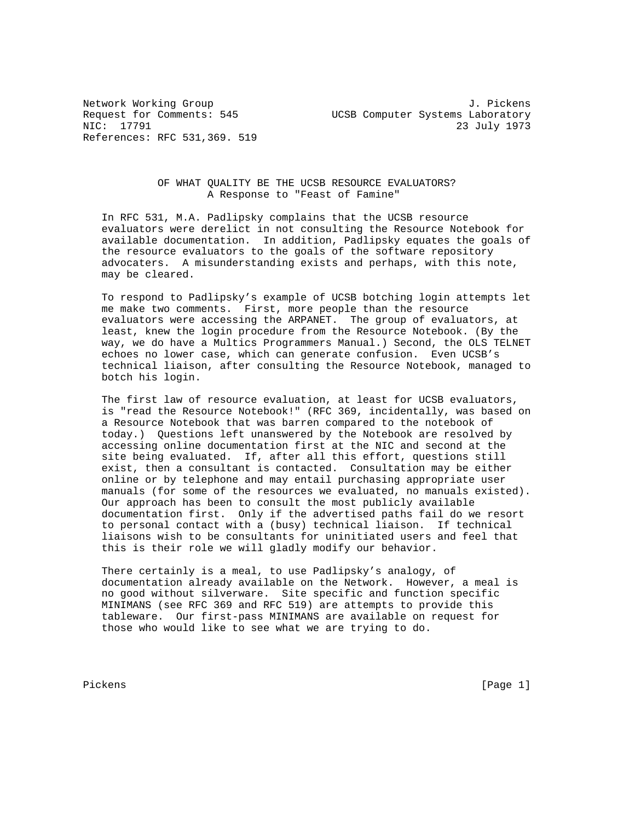References: RFC 531,369. 519

Network Working Group<br>Request for Comments: 545 <br>J. Pickens Request for Comments: 545 UCSB Computer Systems Laboratory<br>NIC: 17791 23 23 July 1973

## OF WHAT QUALITY BE THE UCSB RESOURCE EVALUATORS? A Response to "Feast of Famine"

 In RFC 531, M.A. Padlipsky complains that the UCSB resource evaluators were derelict in not consulting the Resource Notebook for available documentation. In addition, Padlipsky equates the goals of the resource evaluators to the goals of the software repository advocaters. A misunderstanding exists and perhaps, with this note, may be cleared.

 To respond to Padlipsky's example of UCSB botching login attempts let me make two comments. First, more people than the resource evaluators were accessing the ARPANET. The group of evaluators, at least, knew the login procedure from the Resource Notebook. (By the way, we do have a Multics Programmers Manual.) Second, the OLS TELNET echoes no lower case, which can generate confusion. Even UCSB's technical liaison, after consulting the Resource Notebook, managed to botch his login.

 The first law of resource evaluation, at least for UCSB evaluators, is "read the Resource Notebook!" (RFC 369, incidentally, was based on a Resource Notebook that was barren compared to the notebook of today.) Questions left unanswered by the Notebook are resolved by accessing online documentation first at the NIC and second at the site being evaluated. If, after all this effort, questions still exist, then a consultant is contacted. Consultation may be either online or by telephone and may entail purchasing appropriate user manuals (for some of the resources we evaluated, no manuals existed). Our approach has been to consult the most publicly available documentation first. Only if the advertised paths fail do we resort to personal contact with a (busy) technical liaison. If technical liaisons wish to be consultants for uninitiated users and feel that this is their role we will gladly modify our behavior.

 There certainly is a meal, to use Padlipsky's analogy, of documentation already available on the Network. However, a meal is no good without silverware. Site specific and function specific MINIMANS (see RFC 369 and RFC 519) are attempts to provide this tableware. Our first-pass MINIMANS are available on request for those who would like to see what we are trying to do.

Pickens [Page 1]